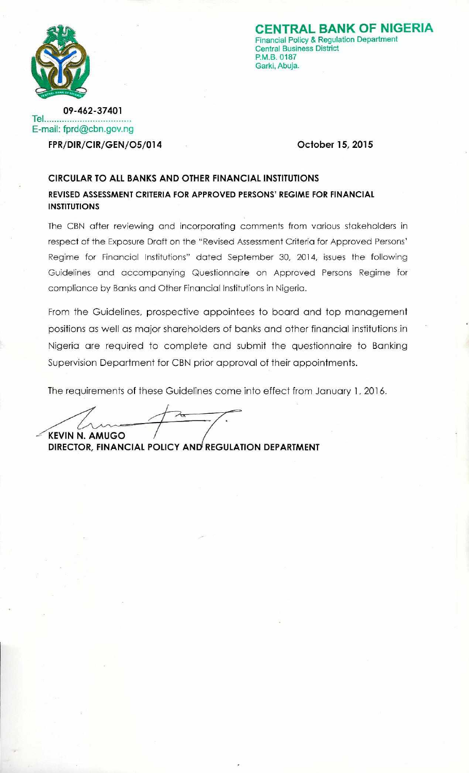

**ENTRAL BANK OF NIGERIA** Financial Policy & Regulation Department **Central Business District** P.M.B. 0187 Garki, Abuja.

09-462-37401 Tel... E-mail: fprd@cbn.gov.ng FPR/DIR/CIR/GEN/O5/014

October 15, 2015

# **CIRCULAR TO ALL BANKS AND OTHER FINANCIAL INSTITUTIONS** REVISED ASSESSMENT CRITERIA FOR APPROVED PERSONS' REGIME FOR FINANCIAL **INSTITUTIONS**

The CBN after reviewing and incorporating comments from various stakeholders in respect of the Exposure Draft on the "Revised Assessment Criteria for Approved Persons' Regime for Financial Institutions" dated September 30, 2014, issues the following Guidelines and accompanying Questionnaire on Approved Persons Regime for compliance by Banks and Other Financial Institutions in Nigeria.

From the Guidelines, prospective appointees to board and top management positions as well as major shareholders of banks and other financial institutions in Nigeria are required to complete and submit the questionnaire to Banking Supervision Department for CBN prior approval of their appointments.

The requirements of these Guidelines come into effect from January 1, 2016.

**KEVIN N. AMUGO** 

DIRECTOR, FINANCIAL POLICY AND REGULATION DEPARTMENT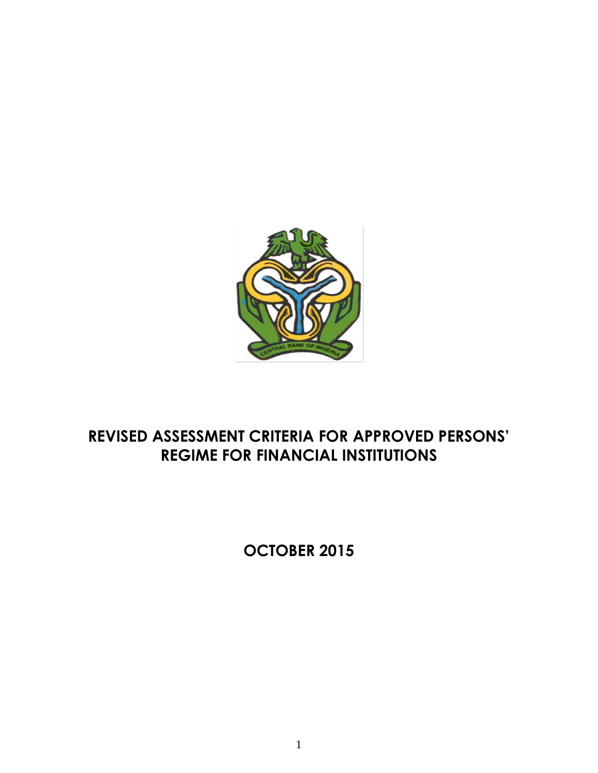

# **REVISED ASSESSMENT CRITERIA FOR APPROVED PERSONS' REGIME FOR FINANCIAL INSTITUTIONS**

**OCTOBER 2015**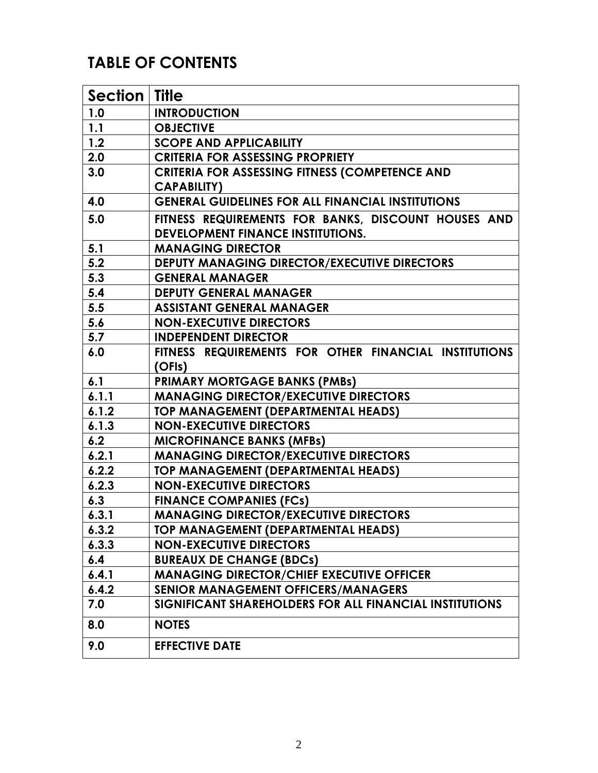# **TABLE OF CONTENTS**

| Section   Title |                                                          |
|-----------------|----------------------------------------------------------|
| 1.0             | <b>INTRODUCTION</b>                                      |
| 1.1             | <b>OBJECTIVE</b>                                         |
| 1.2             | <b>SCOPE AND APPLICABILITY</b>                           |
| 2.0             | <b>CRITERIA FOR ASSESSING PROPRIETY</b>                  |
| 3.0             | <b>CRITERIA FOR ASSESSING FITNESS (COMPETENCE AND</b>    |
|                 | <b>CAPABILITY)</b>                                       |
| 4.0             | <b>GENERAL GUIDELINES FOR ALL FINANCIAL INSTITUTIONS</b> |
| 5.0             | FITNESS REQUIREMENTS FOR BANKS, DISCOUNT HOUSES AND      |
|                 | <b>DEVELOPMENT FINANCE INSTITUTIONS.</b>                 |
| 5.1             | <b>MANAGING DIRECTOR</b>                                 |
| 5.2             | <b>DEPUTY MANAGING DIRECTOR/EXECUTIVE DIRECTORS</b>      |
| 5.3             | <b>GENERAL MANAGER</b>                                   |
| 5.4             | <b>DEPUTY GENERAL MANAGER</b>                            |
| 5.5             | <b>ASSISTANT GENERAL MANAGER</b>                         |
| 5.6             | <b>NON-EXECUTIVE DIRECTORS</b>                           |
| 5.7             | <b>INDEPENDENT DIRECTOR</b>                              |
| 6.0             | FITNESS REQUIREMENTS FOR OTHER FINANCIAL INSTITUTIONS    |
|                 | (OFIs)                                                   |
| 6.1             | <b>PRIMARY MORTGAGE BANKS (PMBs)</b>                     |
| 6.1.1           | <b>MANAGING DIRECTOR/EXECUTIVE DIRECTORS</b>             |
| 6.1.2           | TOP MANAGEMENT (DEPARTMENTAL HEADS)                      |
| 6.1.3           | <b>NON-EXECUTIVE DIRECTORS</b>                           |
| 6.2             | <b>MICROFINANCE BANKS (MFBs)</b>                         |
| 6.2.1           | <b>MANAGING DIRECTOR/EXECUTIVE DIRECTORS</b>             |
| 6.2.2           | <b>TOP MANAGEMENT (DEPARTMENTAL HEADS)</b>               |
| 6.2.3           | <b>NON-EXECUTIVE DIRECTORS</b>                           |
| 6.3             | <b>FINANCE COMPANIES (FCs)</b>                           |
| 6.3.1           | <b>MANAGING DIRECTOR/EXECUTIVE DIRECTORS</b>             |
| 6.3.2           | TOP MANAGEMENT (DEPARTMENTAL HEADS)                      |
| 6.3.3           | <b>NON-EXECUTIVE DIRECTORS</b>                           |
| 6.4             | <b>BUREAUX DE CHANGE (BDCs)</b>                          |
| 6.4.1           | <b>MANAGING DIRECTOR/CHIEF EXECUTIVE OFFICER</b>         |
| 6.4.2           | <b>SENIOR MANAGEMENT OFFICERS/MANAGERS</b>               |
| 7.0             | SIGNIFICANT SHAREHOLDERS FOR ALL FINANCIAL INSTITUTIONS  |
| 8.0             | <b>NOTES</b>                                             |
| 9.0             | <b>EFFECTIVE DATE</b>                                    |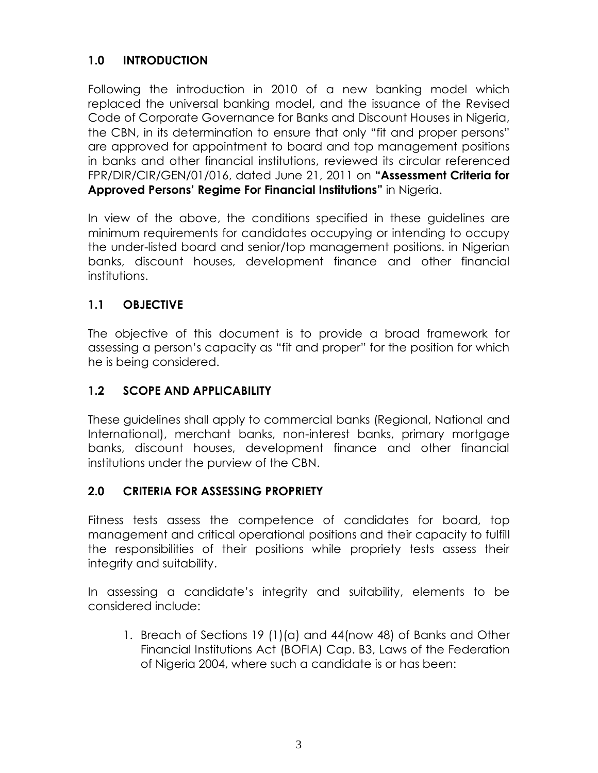# **1.0 INTRODUCTION**

Following the introduction in 2010 of a new banking model which replaced the universal banking model, and the issuance of the Revised Code of Corporate Governance for Banks and Discount Houses in Nigeria, the CBN, in its determination to ensure that only "fit and proper persons" are approved for appointment to board and top management positions in banks and other financial institutions, reviewed its circular referenced FPR/DIR/CIR/GEN/01/016, dated June 21, 2011 on **"Assessment Criteria for Approved Persons' Regime For Financial Institutions"** in Nigeria.

In view of the above, the conditions specified in these guidelines are minimum requirements for candidates occupying or intending to occupy the under-listed board and senior/top management positions. in Nigerian banks, discount houses, development finance and other financial institutions.

# **1.1 OBJECTIVE**

The objective of this document is to provide a broad framework for assessing a person's capacity as "fit and proper" for the position for which he is being considered.

# **1.2 SCOPE AND APPLICABILITY**

These guidelines shall apply to commercial banks (Regional, National and International), merchant banks, non-interest banks, primary mortgage banks, discount houses, development finance and other financial institutions under the purview of the CBN.

# **2.0 CRITERIA FOR ASSESSING PROPRIETY**

Fitness tests assess the competence of candidates for board, top management and critical operational positions and their capacity to fulfill the responsibilities of their positions while propriety tests assess their integrity and suitability.

In assessing a candidate's integrity and suitability, elements to be considered include:

1. Breach of Sections 19 (1)(a) and 44(now 48) of Banks and Other Financial Institutions Act (BOFIA) Cap. B3, Laws of the Federation of Nigeria 2004, where such a candidate is or has been: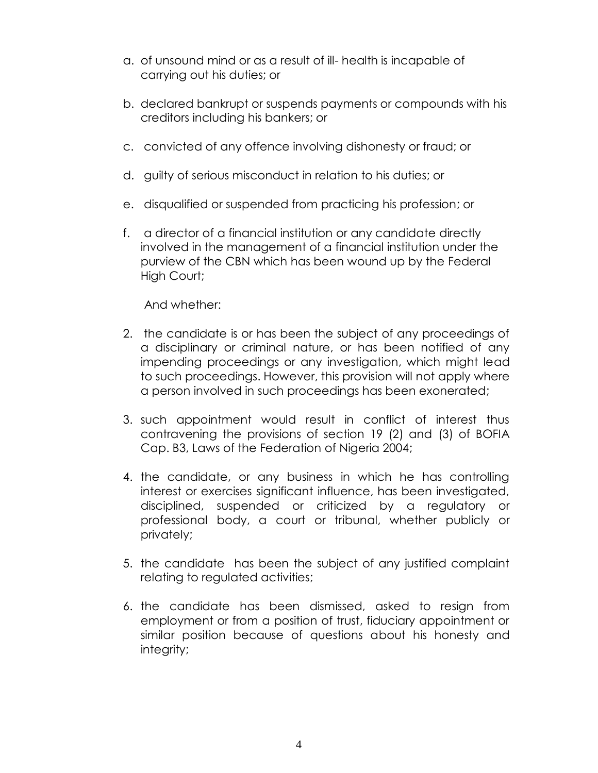- a. of unsound mind or as a result of ill- health is incapable of carrying out his duties; or
- b. declared bankrupt or suspends payments or compounds with his creditors including his bankers; or
- c. convicted of any offence involving dishonesty or fraud; or
- d. guilty of serious misconduct in relation to his duties; or
- e. disqualified or suspended from practicing his profession; or
- f. a director of a financial institution or any candidate directly involved in the management of a financial institution under the purview of the CBN which has been wound up by the Federal High Court;

And whether:

- 2. the candidate is or has been the subject of any proceedings of a disciplinary or criminal nature, or has been notified of any impending proceedings or any investigation, which might lead to such proceedings. However, this provision will not apply where a person involved in such proceedings has been exonerated;
- 3. such appointment would result in conflict of interest thus contravening the provisions of section 19 (2) and (3) of BOFIA Cap. B3, Laws of the Federation of Nigeria 2004;
- 4. the candidate, or any business in which he has controlling interest or exercises significant influence, has been investigated, disciplined, suspended or criticized by a regulatory or professional body, a court or tribunal, whether publicly or privately;
- 5. the candidate has been the subject of any justified complaint relating to regulated activities;
- 6. the candidate has been dismissed, asked to resign from employment or from a position of trust, fiduciary appointment or similar position because of questions about his honesty and integrity;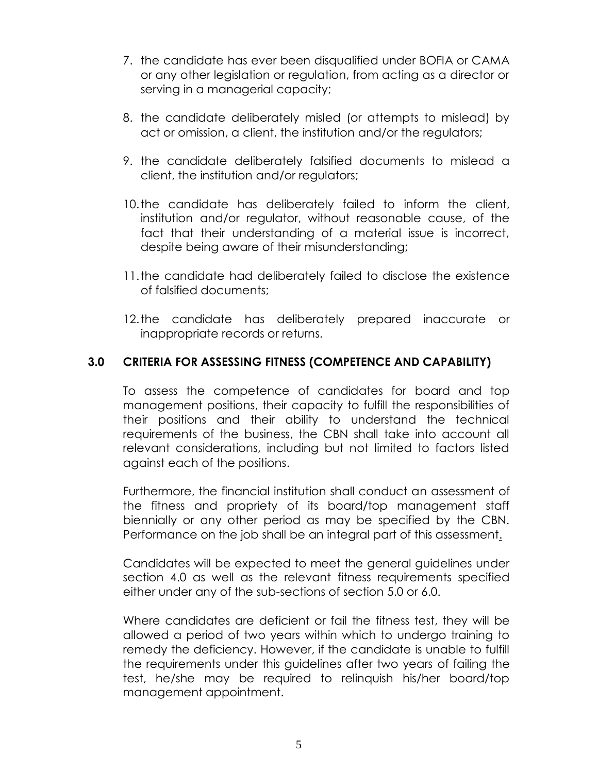- 7. the candidate has ever been disqualified under BOFIA or CAMA or any other legislation or regulation, from acting as a director or serving in a managerial capacity;
- 8. the candidate deliberately misled (or attempts to mislead) by act or omission, a client, the institution and/or the regulators;
- 9. the candidate deliberately falsified documents to mislead a client, the institution and/or regulators;
- 10.the candidate has deliberately failed to inform the client, institution and/or regulator, without reasonable cause, of the fact that their understanding of a material issue is incorrect, despite being aware of their misunderstanding;
- 11.the candidate had deliberately failed to disclose the existence of falsified documents;
- 12.the candidate has deliberately prepared inaccurate or inappropriate records or returns.

#### **3.0 CRITERIA FOR ASSESSING FITNESS (COMPETENCE AND CAPABILITY)**

To assess the competence of candidates for board and top management positions, their capacity to fulfill the responsibilities of their positions and their ability to understand the technical requirements of the business, the CBN shall take into account all relevant considerations, including but not limited to factors listed against each of the positions.

Furthermore, the financial institution shall conduct an assessment of the fitness and propriety of its board/top management staff biennially or any other period as may be specified by the CBN. Performance on the job shall be an integral part of this assessment.

Candidates will be expected to meet the general guidelines under section 4.0 as well as the relevant fitness requirements specified either under any of the sub-sections of section 5.0 or 6.0.

Where candidates are deficient or fail the fitness test, they will be allowed a period of two years within which to undergo training to remedy the deficiency. However, if the candidate is unable to fulfill the requirements under this guidelines after two years of failing the test, he/she may be required to relinquish his/her board/top management appointment.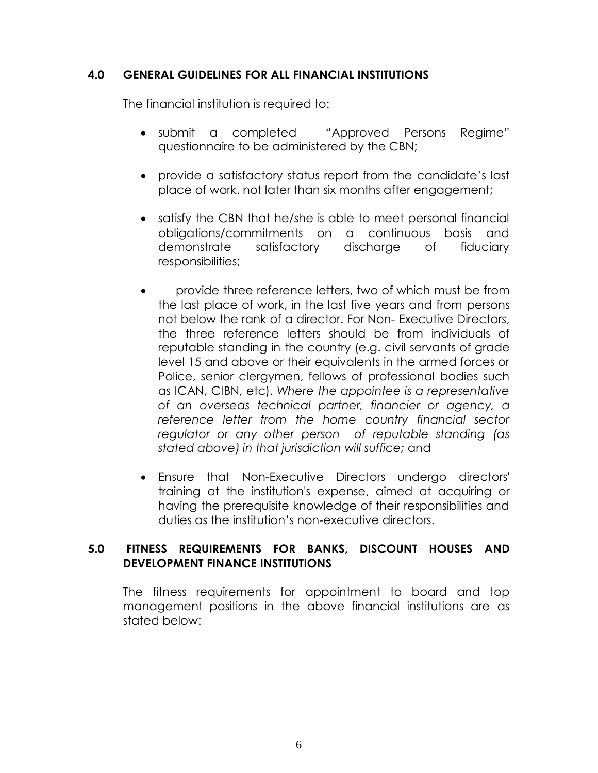#### **4.0 GENERAL GUIDELINES FOR ALL FINANCIAL INSTITUTIONS**

The financial institution is required to:

- submit a completed "Approved Persons Regime" questionnaire to be administered by the CBN;
- provide a satisfactory status report from the candidate's last place of work. not later than six months after engagement;
- satisfy the CBN that he/she is able to meet personal financial obligations/commitments on a continuous basis and demonstrate satisfactory discharge of fiduciary responsibilities;
- provide three reference letters, two of which must be from the last place of work, in the last five years and from persons not below the rank of a director. For Non- Executive Directors, the three reference letters should be from individuals of reputable standing in the country (e.g. civil servants of grade level 15 and above or their equivalents in the armed forces or Police, senior clergymen, fellows of professional bodies such as ICAN, CIBN, etc). *Where the appointee is a representative of an overseas technical partner, financier or agency, a reference letter from the home country financial sector regulator or any other person of reputable standing (as stated above) in that jurisdiction will suffice;* and
- Ensure that Non-Executive Directors undergo directors' training at the institution's expense, aimed at acquiring or having the prerequisite knowledge of their responsibilities and duties as the institution's non-executive directors.

#### **5.0 FITNESS REQUIREMENTS FOR BANKS, DISCOUNT HOUSES AND DEVELOPMENT FINANCE INSTITUTIONS**

The fitness requirements for appointment to board and top management positions in the above financial institutions are as stated below: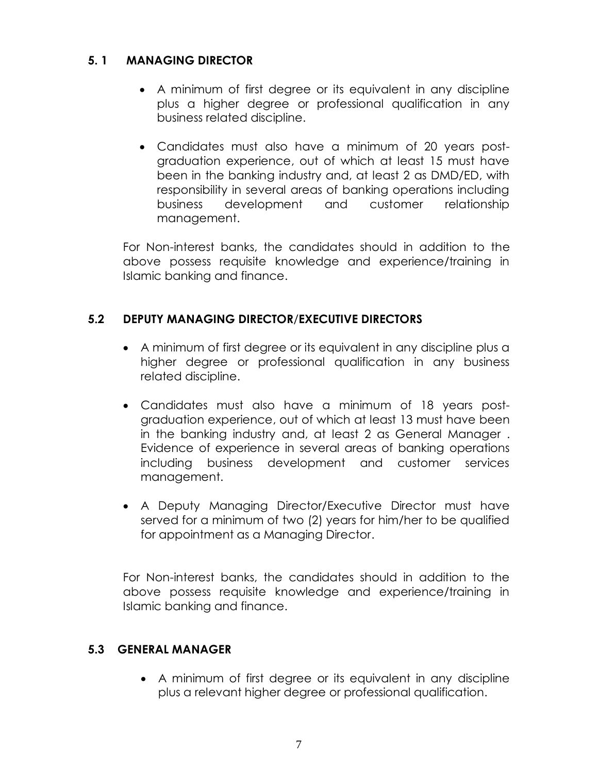# **5. 1 MANAGING DIRECTOR**

- A minimum of first degree or its equivalent in any discipline plus a higher degree or professional qualification in any business related discipline.
- Candidates must also have a minimum of 20 years postgraduation experience, out of which at least 15 must have been in the banking industry and, at least 2 as DMD/ED, with responsibility in several areas of banking operations including business development and customer relationship management.

For Non-interest banks, the candidates should in addition to the above possess requisite knowledge and experience/training in Islamic banking and finance.

# **5.2 DEPUTY MANAGING DIRECTOR**/**EXECUTIVE DIRECTORS**

- A minimum of first degree or its equivalent in any discipline plus a higher degree or professional qualification in any business related discipline.
- Candidates must also have a minimum of 18 years postgraduation experience, out of which at least 13 must have been in the banking industry and, at least 2 as General Manager . Evidence of experience in several areas of banking operations including business development and customer services management.
- A Deputy Managing Director/Executive Director must have served for a minimum of two (2) years for him/her to be qualified for appointment as a Managing Director.

For Non-interest banks, the candidates should in addition to the above possess requisite knowledge and experience/training in Islamic banking and finance.

# **5.3 GENERAL MANAGER**

 A minimum of first degree or its equivalent in any discipline plus a relevant higher degree or professional qualification.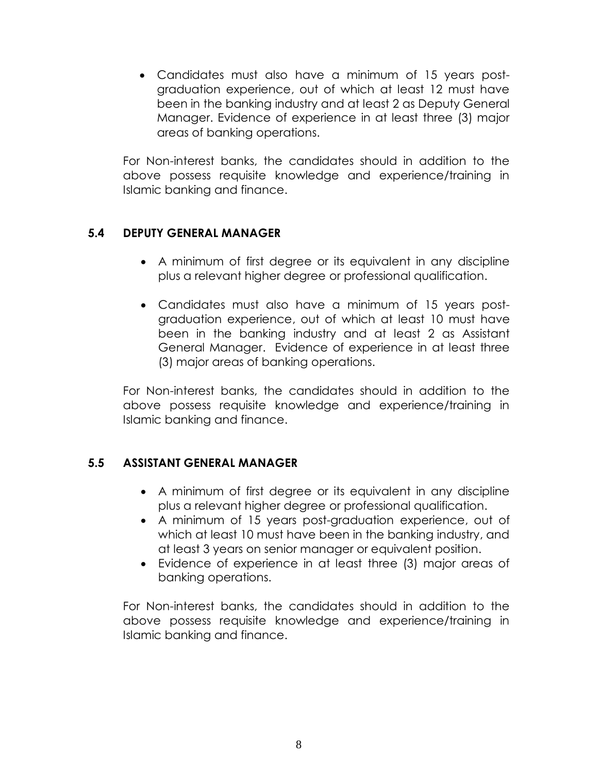Candidates must also have a minimum of 15 years postgraduation experience, out of which at least 12 must have been in the banking industry and at least 2 as Deputy General Manager. Evidence of experience in at least three (3) major areas of banking operations.

For Non-interest banks, the candidates should in addition to the above possess requisite knowledge and experience/training in Islamic banking and finance.

#### **5.4 DEPUTY GENERAL MANAGER**

- A minimum of first degree or its equivalent in any discipline plus a relevant higher degree or professional qualification.
- Candidates must also have a minimum of 15 years postgraduation experience, out of which at least 10 must have been in the banking industry and at least 2 as Assistant General Manager. Evidence of experience in at least three (3) major areas of banking operations.

For Non-interest banks, the candidates should in addition to the above possess requisite knowledge and experience/training in Islamic banking and finance.

# **5.5 ASSISTANT GENERAL MANAGER**

- A minimum of first degree or its equivalent in any discipline plus a relevant higher degree or professional qualification.
- A minimum of 15 years post-graduation experience, out of which at least 10 must have been in the banking industry, and at least 3 years on senior manager or equivalent position.
- Evidence of experience in at least three (3) major areas of banking operations.

For Non-interest banks, the candidates should in addition to the above possess requisite knowledge and experience/training in Islamic banking and finance.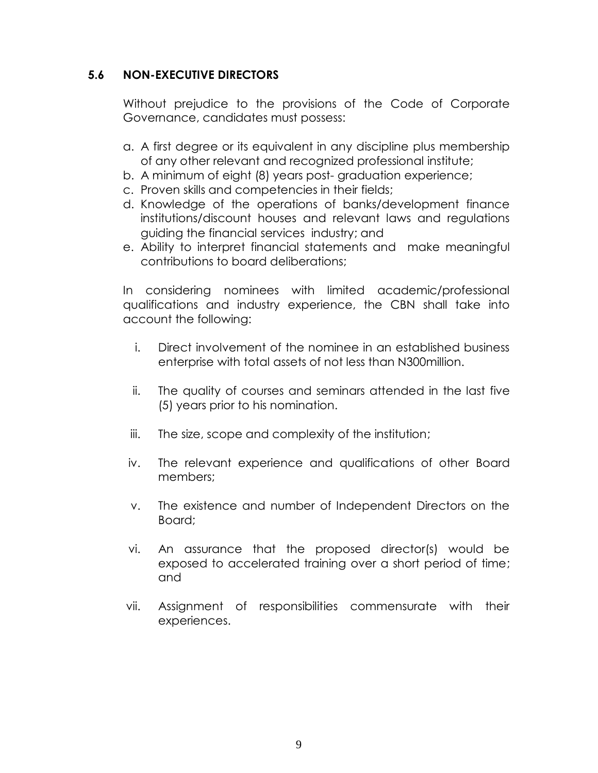## **5.6 NON-EXECUTIVE DIRECTORS**

Without prejudice to the provisions of the Code of Corporate Governance, candidates must possess:

- a. A first degree or its equivalent in any discipline plus membership of any other relevant and recognized professional institute;
- b. A minimum of eight (8) years post- graduation experience;
- c. Proven skills and competencies in their fields;
- d. Knowledge of the operations of banks/development finance institutions/discount houses and relevant laws and regulations guiding the financial services industry; and
- e. Ability to interpret financial statements and make meaningful contributions to board deliberations;

In considering nominees with limited academic/professional qualifications and industry experience, the CBN shall take into account the following:

- i. Direct involvement of the nominee in an established business enterprise with total assets of not less than N300million.
- ii. The quality of courses and seminars attended in the last five (5) years prior to his nomination.
- iii. The size, scope and complexity of the institution;
- iv. The relevant experience and qualifications of other Board members;
- v. The existence and number of Independent Directors on the Board;
- vi. An assurance that the proposed director(s) would be exposed to accelerated training over a short period of time; and
- vii. Assignment of responsibilities commensurate with their experiences.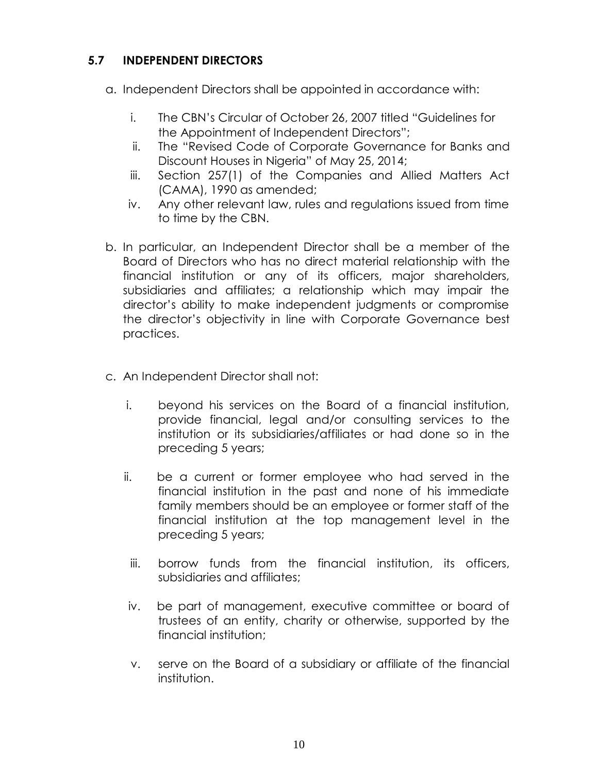# **5.7 INDEPENDENT DIRECTORS**

- a. Independent Directors shall be appointed in accordance with:
	- i. The CBN's Circular of October 26, 2007 titled "Guidelines for the Appointment of Independent Directors";
	- ii. The "Revised Code of Corporate Governance for Banks and Discount Houses in Nigeria" of May 25, 2014;
	- iii. Section 257(1) of the Companies and Allied Matters Act (CAMA), 1990 as amended;
	- iv. Any other relevant law, rules and regulations issued from time to time by the CBN.
- b. In particular, an Independent Director shall be a member of the Board of Directors who has no direct material relationship with the financial institution or any of its officers, major shareholders, subsidiaries and affiliates; a relationship which may impair the director's ability to make independent judgments or compromise the director's objectivity in line with Corporate Governance best practices.
- c. An Independent Director shall not:
	- i. beyond his services on the Board of a financial institution, provide financial, legal and/or consulting services to the institution or its subsidiaries/affiliates or had done so in the preceding 5 years;
	- ii. be a current or former employee who had served in the financial institution in the past and none of his immediate family members should be an employee or former staff of the financial institution at the top management level in the preceding 5 years;
	- iii. borrow funds from the financial institution, its officers, subsidiaries and affiliates;
	- iv. be part of management, executive committee or board of trustees of an entity, charity or otherwise, supported by the financial institution;
	- v. serve on the Board of a subsidiary or affiliate of the financial institution.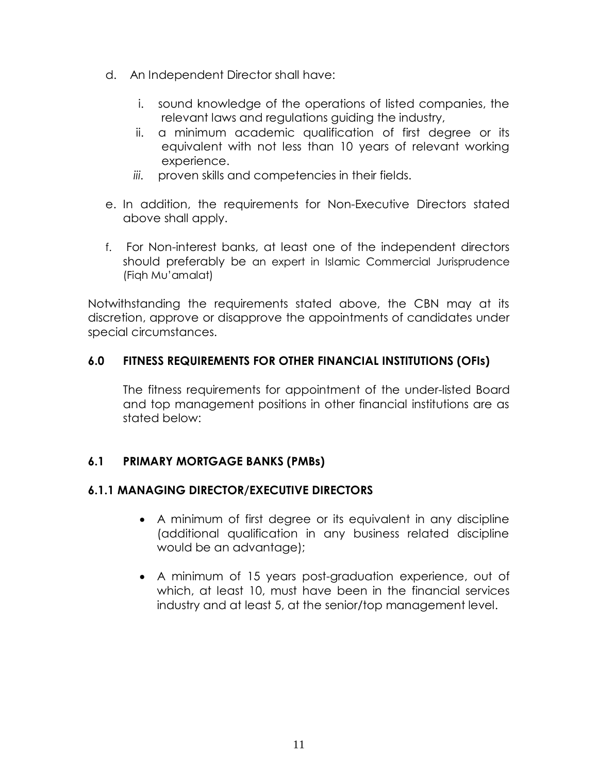- d. An Independent Director shall have:
	- i. sound knowledge of the operations of listed companies, the relevant laws and regulations guiding the industry,
	- ii. a minimum academic qualification of first degree or its equivalent with not less than 10 years of relevant working experience.
	- *iii.* proven skills and competencies in their fields.
- e. In addition, the requirements for Non-Executive Directors stated above shall apply.
- f. For Non-interest banks, at least one of the independent directors should preferably be an expert in Islamic Commercial Jurisprudence (Fiqh Mu'amalat)

Notwithstanding the requirements stated above, the CBN may at its discretion, approve or disapprove the appointments of candidates under special circumstances.

# **6.0 FITNESS REQUIREMENTS FOR OTHER FINANCIAL INSTITUTIONS (OFIs)**

The fitness requirements for appointment of the under-listed Board and top management positions in other financial institutions are as stated below:

# **6.1 PRIMARY MORTGAGE BANKS (PMBs)**

#### **6.1.1 MANAGING DIRECTOR/EXECUTIVE DIRECTORS**

- A minimum of first degree or its equivalent in any discipline (additional qualification in any business related discipline would be an advantage);
- A minimum of 15 years post-graduation experience, out of which, at least 10, must have been in the financial services industry and at least 5, at the senior/top management level.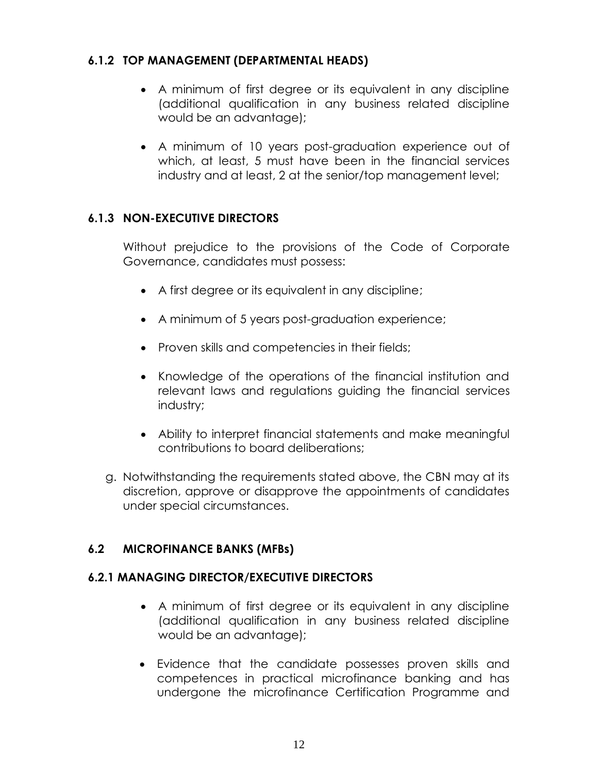## **6.1.2 TOP MANAGEMENT (DEPARTMENTAL HEADS)**

- A minimum of first degree or its equivalent in any discipline (additional qualification in any business related discipline would be an advantage);
- A minimum of 10 years post-graduation experience out of which, at least, 5 must have been in the financial services industry and at least, 2 at the senior/top management level;

#### **6.1.3 NON-EXECUTIVE DIRECTORS**

Without prejudice to the provisions of the Code of Corporate Governance, candidates must possess:

- A first degree or its equivalent in any discipline;
- A minimum of 5 years post-graduation experience;
- Proven skills and competencies in their fields;
- Knowledge of the operations of the financial institution and relevant laws and regulations guiding the financial services industry;
- Ability to interpret financial statements and make meaningful contributions to board deliberations;
- g. Notwithstanding the requirements stated above, the CBN may at its discretion, approve or disapprove the appointments of candidates under special circumstances.

#### **6.2 MICROFINANCE BANKS (MFBs)**

#### **6.2.1 MANAGING DIRECTOR/EXECUTIVE DIRECTORS**

- A minimum of first degree or its equivalent in any discipline (additional qualification in any business related discipline would be an advantage);
- Evidence that the candidate possesses proven skills and competences in practical microfinance banking and has undergone the microfinance Certification Programme and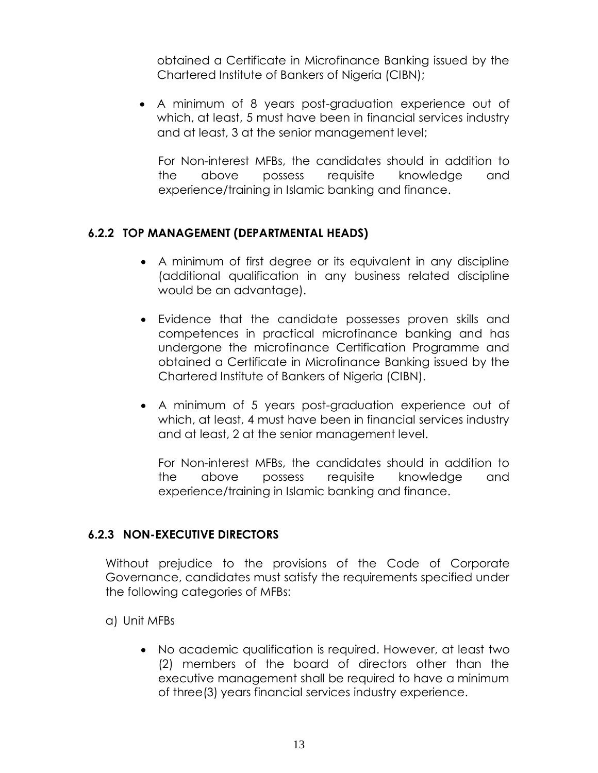obtained a Certificate in Microfinance Banking issued by the Chartered Institute of Bankers of Nigeria (CIBN);

 A minimum of 8 years post-graduation experience out of which, at least, 5 must have been in financial services industry and at least, 3 at the senior management level;

For Non-interest MFBs, the candidates should in addition to the above possess requisite knowledge and experience/training in Islamic banking and finance.

#### **6.2.2 TOP MANAGEMENT (DEPARTMENTAL HEADS)**

- A minimum of first degree or its equivalent in any discipline (additional qualification in any business related discipline would be an advantage).
- Evidence that the candidate possesses proven skills and competences in practical microfinance banking and has undergone the microfinance Certification Programme and obtained a Certificate in Microfinance Banking issued by the Chartered Institute of Bankers of Nigeria (CIBN).
- A minimum of 5 years post-graduation experience out of which, at least, 4 must have been in financial services industry and at least, 2 at the senior management level.

For Non-interest MFBs, the candidates should in addition to the above possess requisite knowledge and experience/training in Islamic banking and finance.

#### **6.2.3 NON-EXECUTIVE DIRECTORS**

Without prejudice to the provisions of the Code of Corporate Governance, candidates must satisfy the requirements specified under the following categories of MFBs:

- a) Unit MFBs
	- No academic qualification is required. However, at least two (2) members of the board of directors other than the executive management shall be required to have a minimum of three(3) years financial services industry experience.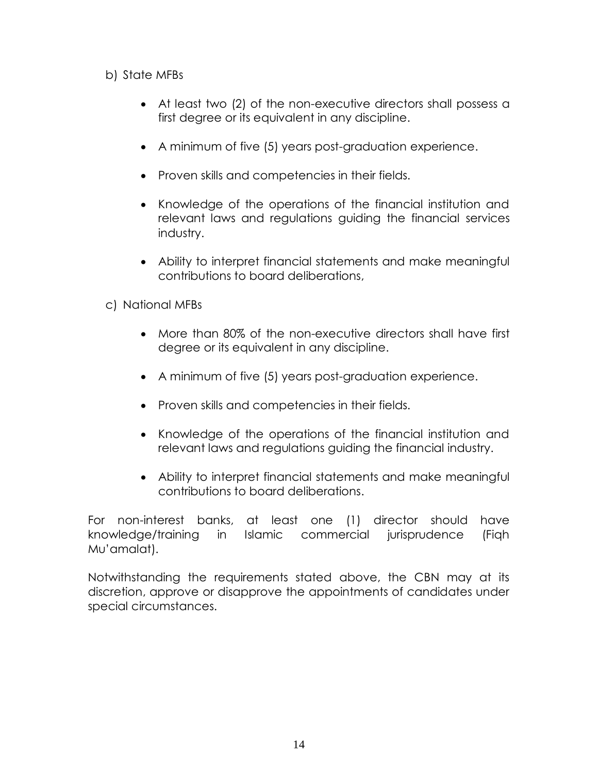#### b) State MFBs

- At least two (2) of the non-executive directors shall possess a first degree or its equivalent in any discipline.
- A minimum of five (5) years post-graduation experience.
- Proven skills and competencies in their fields.
- Knowledge of the operations of the financial institution and relevant laws and regulations guiding the financial services industry.
- Ability to interpret financial statements and make meaningful contributions to board deliberations,
- c) National MFBs
	- More than 80% of the non-executive directors shall have first degree or its equivalent in any discipline.
	- A minimum of five (5) years post-graduation experience.
	- Proven skills and competencies in their fields.
	- Knowledge of the operations of the financial institution and relevant laws and regulations guiding the financial industry.
	- Ability to interpret financial statements and make meaningful contributions to board deliberations.

For non-interest banks, at least one (1) director should have knowledge/training in Islamic commercial jurisprudence (Fiqh Mu'amalat).

Notwithstanding the requirements stated above, the CBN may at its discretion, approve or disapprove the appointments of candidates under special circumstances.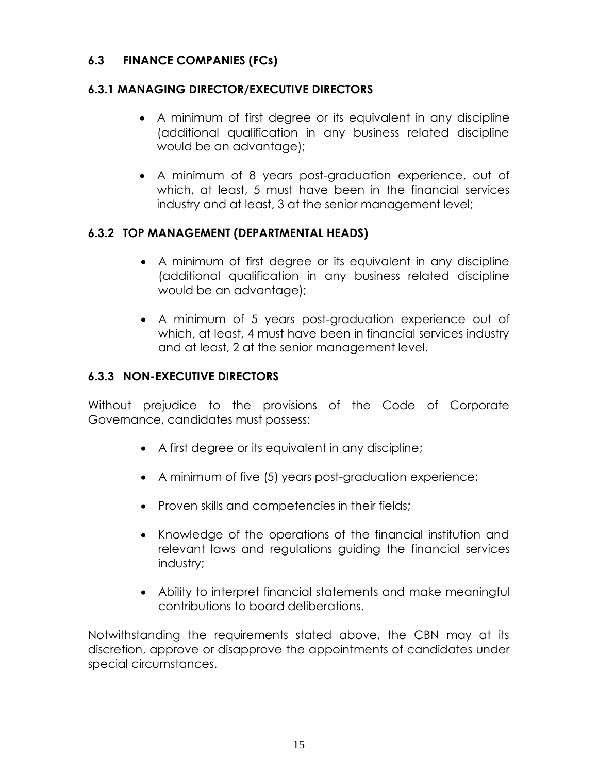# **6.3 FINANCE COMPANIES (FCs)**

# **6.3.1 MANAGING DIRECTOR/EXECUTIVE DIRECTORS**

- A minimum of first degree or its equivalent in any discipline (additional qualification in any business related discipline would be an advantage);
- A minimum of 8 years post-graduation experience, out of which, at least, 5 must have been in the financial services industry and at least, 3 at the senior management level;

# **6.3.2 TOP MANAGEMENT (DEPARTMENTAL HEADS)**

- A minimum of first degree or its equivalent in any discipline (additional qualification in any business related discipline would be an advantage);
- A minimum of 5 years post-graduation experience out of which, at least, 4 must have been in financial services industry and at least, 2 at the senior management level.

# **6.3.3 NON-EXECUTIVE DIRECTORS**

Without prejudice to the provisions of the Code of Corporate Governance, candidates must possess:

- A first degree or its equivalent in any discipline;
- A minimum of five (5) years post-graduation experience;
- Proven skills and competencies in their fields;
- Knowledge of the operations of the financial institution and relevant laws and regulations guiding the financial services industry;
- Ability to interpret financial statements and make meaningful contributions to board deliberations.

Notwithstanding the requirements stated above, the CBN may at its discretion, approve or disapprove the appointments of candidates under special circumstances.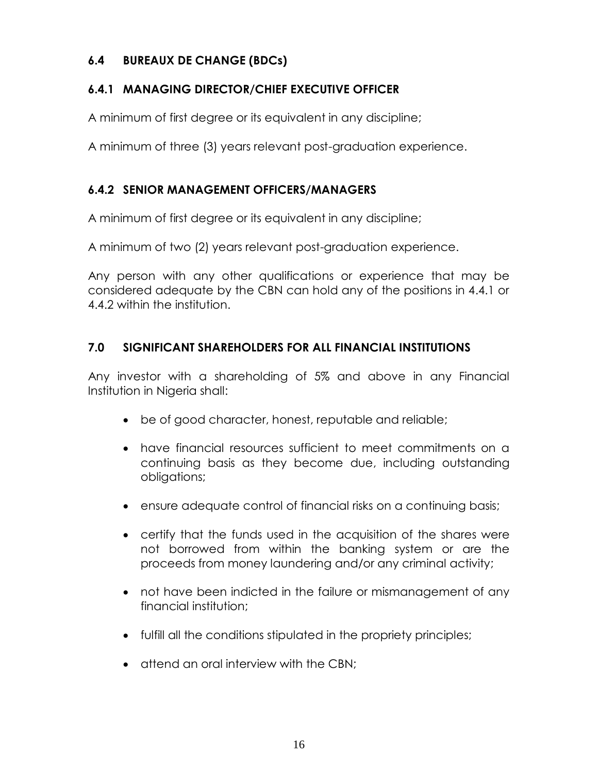# **6.4 BUREAUX DE CHANGE (BDCs)**

# **6.4.1 MANAGING DIRECTOR/CHIEF EXECUTIVE OFFICER**

A minimum of first degree or its equivalent in any discipline;

A minimum of three (3) years relevant post-graduation experience.

# **6.4.2 SENIOR MANAGEMENT OFFICERS/MANAGERS**

A minimum of first degree or its equivalent in any discipline;

A minimum of two (2) years relevant post-graduation experience.

Any person with any other qualifications or experience that may be considered adequate by the CBN can hold any of the positions in 4.4.1 or 4.4.2 within the institution.

# **7.0 SIGNIFICANT SHAREHOLDERS FOR ALL FINANCIAL INSTITUTIONS**

Any investor with a shareholding of 5% and above in any Financial Institution in Nigeria shall:

- be of good character, honest, reputable and reliable;
- have financial resources sufficient to meet commitments on a continuing basis as they become due, including outstanding obligations;
- ensure adequate control of financial risks on a continuing basis;
- certify that the funds used in the acquisition of the shares were not borrowed from within the banking system or are the proceeds from money laundering and/or any criminal activity;
- not have been indicted in the failure or mismanagement of any financial institution;
- fulfill all the conditions stipulated in the propriety principles;
- $\bullet$  attend an oral interview with the CBN;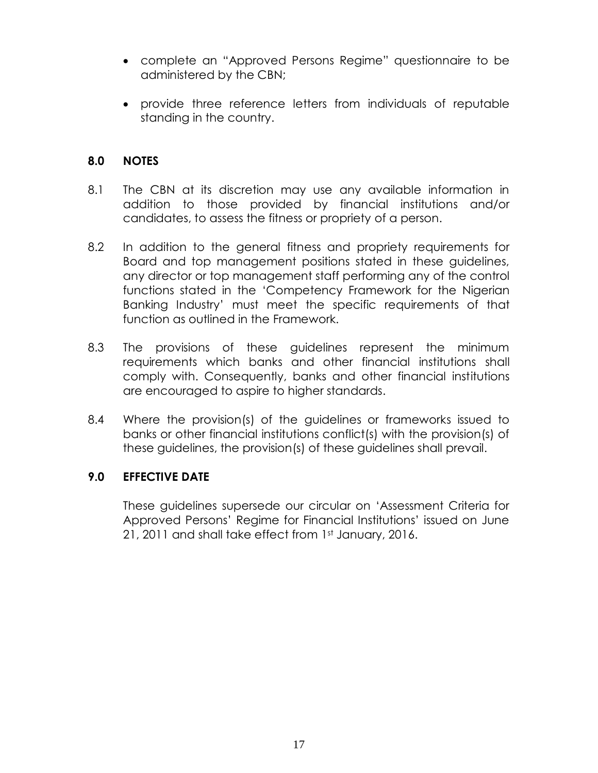- complete an "Approved Persons Regime" questionnaire to be administered by the CBN;
- provide three reference letters from individuals of reputable standing in the country.

## **8.0 NOTES**

- 8.1 The CBN at its discretion may use any available information in addition to those provided by financial institutions and/or candidates, to assess the fitness or propriety of a person.
- 8.2 In addition to the general fitness and propriety requirements for Board and top management positions stated in these guidelines, any director or top management staff performing any of the control functions stated in the 'Competency Framework for the Nigerian Banking Industry' must meet the specific requirements of that function as outlined in the Framework.
- 8.3 The provisions of these guidelines represent the minimum requirements which banks and other financial institutions shall comply with. Consequently, banks and other financial institutions are encouraged to aspire to higher standards.
- 8.4 Where the provision(s) of the guidelines or frameworks issued to banks or other financial institutions conflict(s) with the provision(s) of these guidelines, the provision(s) of these guidelines shall prevail.

#### **9.0 EFFECTIVE DATE**

These guidelines supersede our circular on 'Assessment Criteria for Approved Persons' Regime for Financial Institutions' issued on June 21, 2011 and shall take effect from 1st January, 2016.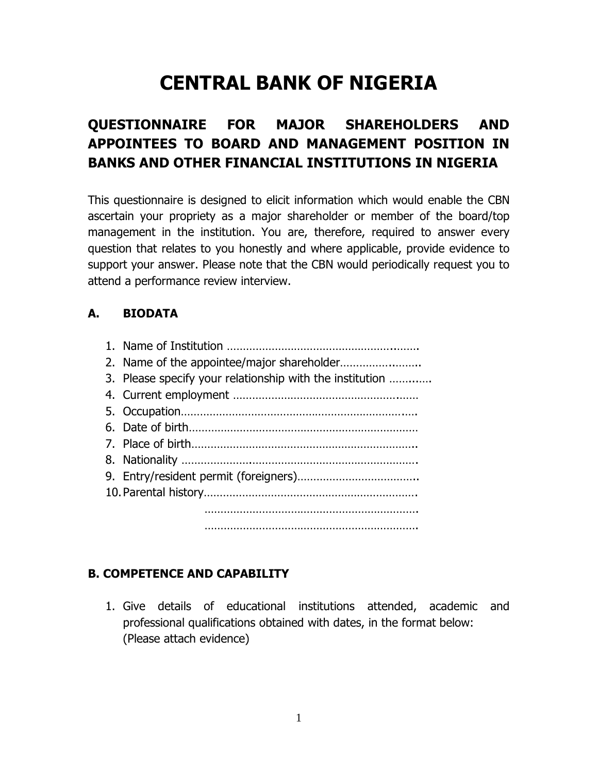# **CENTRAL BANK OF NIGERIA**

# **QUESTIONNAIRE FOR MAJOR SHAREHOLDERS AND APPOINTEES TO BOARD AND MANAGEMENT POSITION IN BANKS AND OTHER FINANCIAL INSTITUTIONS IN NIGERIA**

This questionnaire is designed to elicit information which would enable the CBN ascertain your propriety as a major shareholder or member of the board/top management in the institution. You are, therefore, required to answer every question that relates to you honestly and where applicable, provide evidence to support your answer. Please note that the CBN would periodically request you to attend a performance review interview.

# **A. BIODATA**

1. Name of Institution ……………………………………………..……. 2. Name of the appointee/major shareholder……………..…….. 3. Please specify your relationship with the institution ……...…. 4. Current employment …………………………………………….…… 5. Occupation…………………………………………………………….…. 6. Date of birth……………………………………………………………… 7. Place of birth…………………………………………………………….. 8. Nationality ………………….……………………………………………. 9. Entry/resident permit (foreigners)……………………………….. 10.Parental history…………………………………………………………. …………………………………………………………. ………………………………………………………….

# **B. COMPETENCE AND CAPABILITY**

1. Give details of educational institutions attended, academic and professional qualifications obtained with dates, in the format below: (Please attach evidence)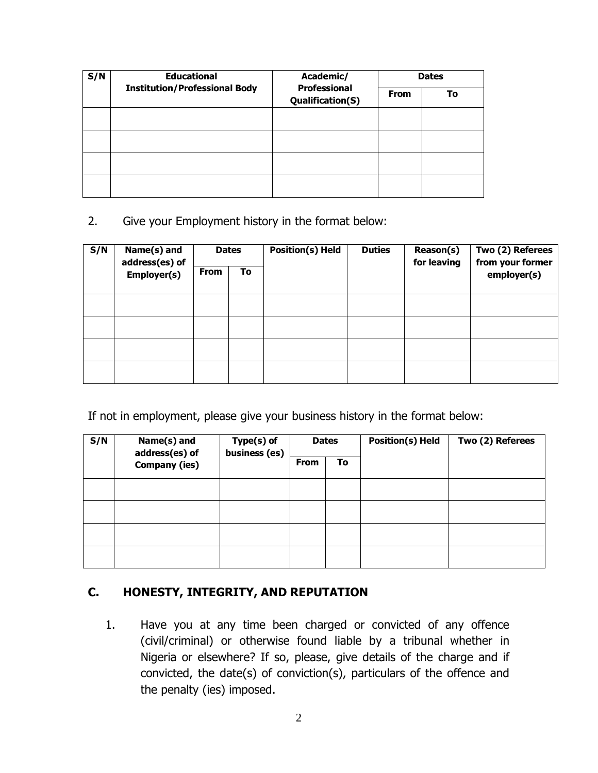| S/N | <b>Educational</b>                   | Academic/<br><b>Professional</b> | <b>Dates</b> |    |  |
|-----|--------------------------------------|----------------------------------|--------------|----|--|
|     | <b>Institution/Professional Body</b> | Qualification(S)                 | From         | To |  |
|     |                                      |                                  |              |    |  |
|     |                                      |                                  |              |    |  |
|     |                                      |                                  |              |    |  |
|     |                                      |                                  |              |    |  |

2. Give your Employment history in the format below:

| S/N | Name(s) and<br>address(es) of |             | <b>Dates</b> | <b>Position(s) Held</b> | <b>Duties</b> | Reason(s)<br>for leaving | Two (2) Referees<br>from your former |
|-----|-------------------------------|-------------|--------------|-------------------------|---------------|--------------------------|--------------------------------------|
|     | Employer(s)                   | <b>From</b> | To           |                         |               |                          | employer(s)                          |
|     |                               |             |              |                         |               |                          |                                      |
|     |                               |             |              |                         |               |                          |                                      |
|     |                               |             |              |                         |               |                          |                                      |
|     |                               |             |              |                         |               |                          |                                      |

If not in employment, please give your business history in the format below:

| S/N | Name(s) and<br>address(es) of | Type(s) of<br>business (es) |             | <b>Dates</b> | <b>Position(s) Held</b> | Two (2) Referees |
|-----|-------------------------------|-----------------------------|-------------|--------------|-------------------------|------------------|
|     | <b>Company (ies)</b>          |                             | <b>From</b> | To           |                         |                  |
|     |                               |                             |             |              |                         |                  |
|     |                               |                             |             |              |                         |                  |
|     |                               |                             |             |              |                         |                  |
|     |                               |                             |             |              |                         |                  |

# **C. HONESTY, INTEGRITY, AND REPUTATION**

1. Have you at any time been charged or convicted of any offence (civil/criminal) or otherwise found liable by a tribunal whether in Nigeria or elsewhere? If so, please, give details of the charge and if convicted, the date(s) of conviction(s), particulars of the offence and the penalty (ies) imposed.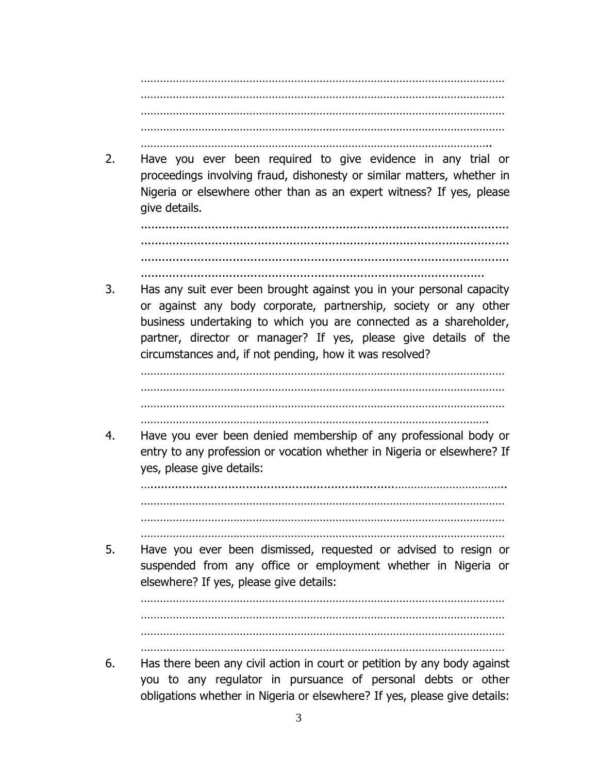…………………………………………………………………………………………………… …………………………………………………………………………………………………… …………………………………………………………………………………………………… ……………………………………………………………………………………………………

………………………………………………………………………………………………..

2. Have you ever been required to give evidence in any trial or proceedings involving fraud, dishonesty or similar matters, whether in Nigeria or elsewhere other than as an expert witness? If yes, please give details.

........................................................................................................ ........................................................................................................ ........................................................................................................

.................................................................................................

3. Has any suit ever been brought against you in your personal capacity or against any body corporate, partnership, society or any other business undertaking to which you are connected as a shareholder, partner, director or manager? If yes, please give details of the circumstances and, if not pending, how it was resolved?

…………………………………………………………………………………………………… ……………………………………………………………………………………………………

- ……………………………………………………………………………………………….
- 4. Have you ever been denied membership of any professional body or entry to any profession or vocation whether in Nigeria or elsewhere? If yes, please give details:

….....................................................................…………………………….. …………………………………………………………………………………………………… …………………………………………………………………………………………………… ……………………………………………………………………………………………………

5. Have you ever been dismissed, requested or advised to resign or suspended from any office or employment whether in Nigeria or elsewhere? If yes, please give details:

…………………………………………………………………………………………………… …………………………………………………………………………………………………… ……………………………………………………………………………………………………

6. Has there been any civil action in court or petition by any body against you to any regulator in pursuance of personal debts or other obligations whether in Nigeria or elsewhere? If yes, please give details: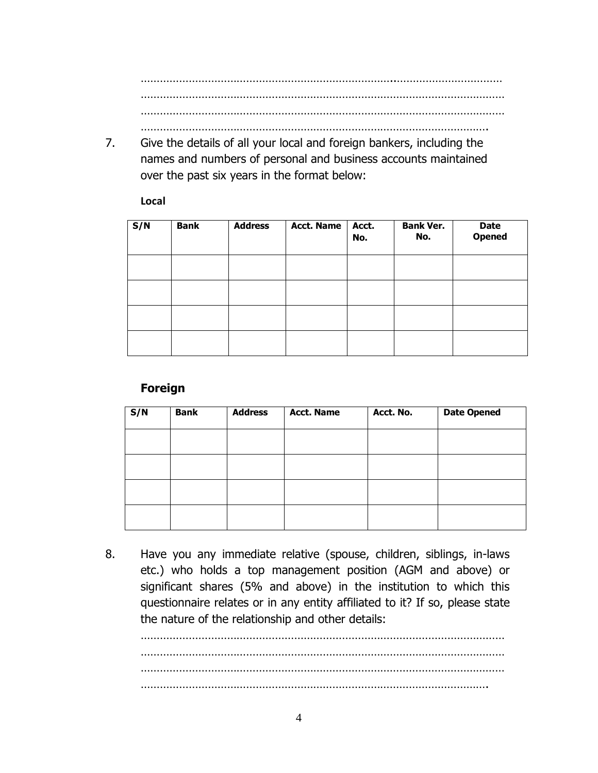……………………………………………………………………..…………………………… …………………………………………………………………………………………………… ……………………………………………………………………………………………………

……………………………………………………………………………………………….

7. Give the details of all your local and foreign bankers, including the names and numbers of personal and business accounts maintained over the past six years in the format below:

**Local** 

| S/N | <b>Bank</b> | <b>Address</b> | <b>Acct. Name</b> | Acct.<br>No. | <b>Bank Ver.</b><br>No. | <b>Date</b><br><b>Opened</b> |
|-----|-------------|----------------|-------------------|--------------|-------------------------|------------------------------|
|     |             |                |                   |              |                         |                              |
|     |             |                |                   |              |                         |                              |
|     |             |                |                   |              |                         |                              |
|     |             |                |                   |              |                         |                              |

#### **Foreign**

| S/N | <b>Bank</b> | <b>Address</b> | <b>Acct. Name</b> | Acct. No. | <b>Date Opened</b> |
|-----|-------------|----------------|-------------------|-----------|--------------------|
|     |             |                |                   |           |                    |
|     |             |                |                   |           |                    |
|     |             |                |                   |           |                    |
|     |             |                |                   |           |                    |

8. Have you any immediate relative (spouse, children, siblings, in-laws etc.) who holds a top management position (AGM and above) or significant shares (5% and above) in the institution to which this questionnaire relates or in any entity affiliated to it? If so, please state the nature of the relationship and other details:

…………………………………………………………………………………………………… …………………………………………………………………………………………………… ……………………………………………………………………………………………….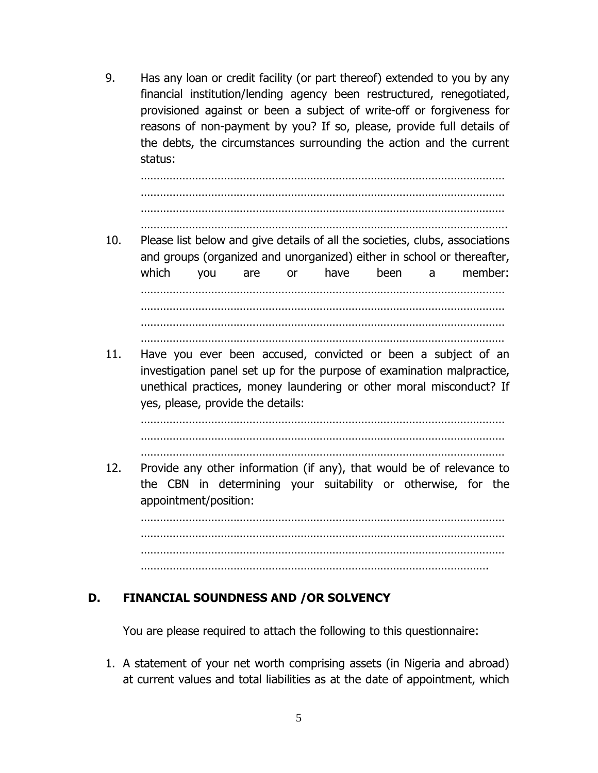9. Has any loan or credit facility (or part thereof) extended to you by any financial institution/lending agency been restructured, renegotiated, provisioned against or been a subject of write-off or forgiveness for reasons of non-payment by you? If so, please, provide full details of the debts, the circumstances surrounding the action and the current status:

…………………………………………………………………………………………………… …………………………………………………………………………………………………… ……………………………………………………………………………………………………

- . The contract of the contract of the contract of the contract of the contract of the contract of the contract of the contract of the contract of the contract of the contract of the contract of the contract of the contrac
- 10. Please list below and give details of all the societies, clubs, associations and groups (organized and unorganized) either in school or thereafter, which you are or have been a member: …………………………………………………………………………………………………… …………………………………………………………………………………………………… ……………………………………………………………………………………………………
- 11. Have you ever been accused, convicted or been a subject of an investigation panel set up for the purpose of examination malpractice, unethical practices, money laundering or other moral misconduct? If yes, please, provide the details:

…………………………………………………………………………………………………… …………………………………………………………………………………………………… ……………………………………………………………………………………………………

……………………………………………………………………………………………………

12. Provide any other information (if any), that would be of relevance to the CBN in determining your suitability or otherwise, for the appointment/position:

…………………………………………………………………………………………………… …………………………………………………………………………………………………… …………………………………………………………………………………………………… ……………………………………………………………………………………………….

# **D. FINANCIAL SOUNDNESS AND /OR SOLVENCY**

You are please required to attach the following to this questionnaire:

1. A statement of your net worth comprising assets (in Nigeria and abroad) at current values and total liabilities as at the date of appointment, which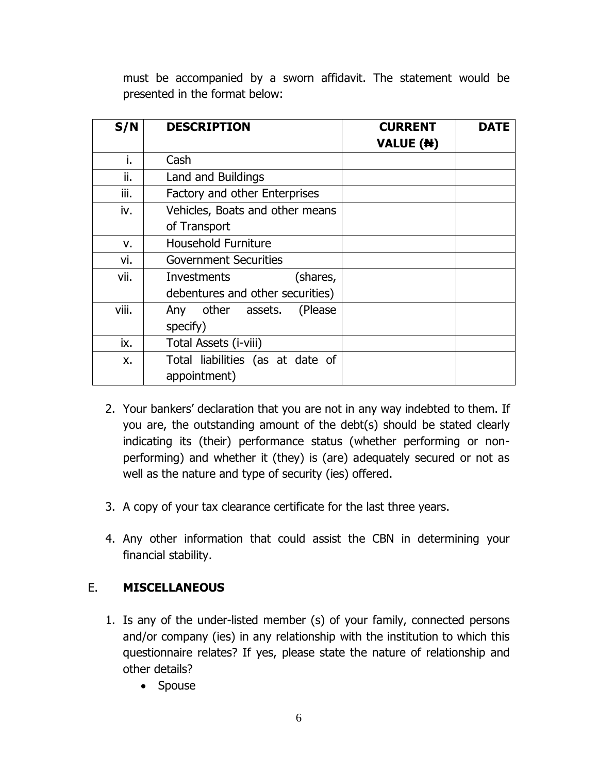must be accompanied by a sworn affidavit. The statement would be presented in the format below:

| S/N   | <b>DESCRIPTION</b>               | <b>CURRENT</b><br><b>VALUE (N)</b> | <b>DATE</b> |
|-------|----------------------------------|------------------------------------|-------------|
| i.    | Cash                             |                                    |             |
| ii.   | Land and Buildings               |                                    |             |
| iii.  | Factory and other Enterprises    |                                    |             |
| iv.   | Vehicles, Boats and other means  |                                    |             |
|       | of Transport                     |                                    |             |
| v.    | <b>Household Furniture</b>       |                                    |             |
| vi.   | <b>Government Securities</b>     |                                    |             |
| vii.  | (shares,<br><b>Investments</b>   |                                    |             |
|       | debentures and other securities) |                                    |             |
| viii. | other assets.<br>(Please)<br>Any |                                    |             |
|       | specify)                         |                                    |             |
| ix.   | Total Assets ( <i>i-viii</i> )   |                                    |             |
| x.    | Total liabilities (as at date of |                                    |             |
|       | appointment)                     |                                    |             |

- 2. Your bankers' declaration that you are not in any way indebted to them. If you are, the outstanding amount of the debt(s) should be stated clearly indicating its (their) performance status (whether performing or nonperforming) and whether it (they) is (are) adequately secured or not as well as the nature and type of security (ies) offered.
- 3. A copy of your tax clearance certificate for the last three years.
- 4. Any other information that could assist the CBN in determining your financial stability.

# E. **MISCELLANEOUS**

- 1. Is any of the under-listed member (s) of your family, connected persons and/or company (ies) in any relationship with the institution to which this questionnaire relates? If yes, please state the nature of relationship and other details?
	- Spouse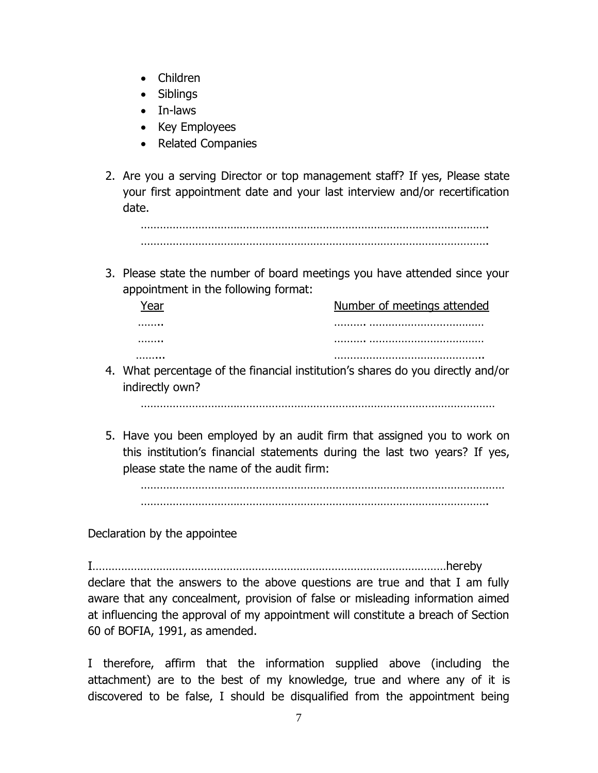- Children
- Siblings
- In-laws
- Key Employees
- Related Companies
- 2. Are you a serving Director or top management staff? If yes, Please state your first appointment date and your last interview and/or recertification date.

………………………………………………………………………………………………. ……………………………………………………………………………………………….

3. Please state the number of board meetings you have attended since your appointment in the following format:

| Number of meetings attended |
|-----------------------------|
|                             |
|                             |
|                             |

4. What percentage of the financial institution's shares do you directly and/or indirectly own?

…………………………………………………………………………………………………

5. Have you been employed by an audit firm that assigned you to work on this institution's financial statements during the last two years? If yes, please state the name of the audit firm:

…………………………………………………………………………………………………… ……………………………………………………………………………………………….

Declaration by the appointee

I…………………………………………………………………………………………………hereby declare that the answers to the above questions are true and that I am fully aware that any concealment, provision of false or misleading information aimed at influencing the approval of my appointment will constitute a breach of Section 60 of BOFIA, 1991, as amended.

I therefore, affirm that the information supplied above (including the attachment) are to the best of my knowledge, true and where any of it is discovered to be false, I should be disqualified from the appointment being